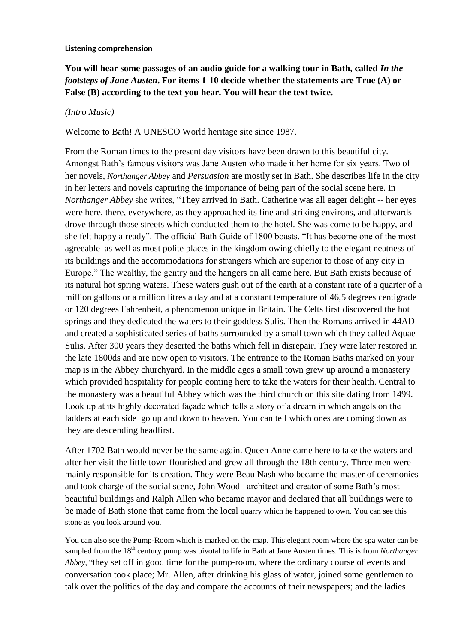#### **Listening comprehension**

**You will hear some passages of an audio guide for a walking tour in Bath, called** *In the footsteps of Jane Austen***. For items 1-10 decide whether the statements are True (A) or False (B) according to the text you hear. You will hear the text twice.**

#### *(Intro Music)*

Welcome to Bath! A UNESCO World heritage site since 1987.

From the Roman times to the present day visitors have been drawn to this beautiful city. Amongst Bath's famous visitors was Jane Austen who made it her home for six years. Two of her novels, *Northanger Abbey* and *Persuasion* are mostly set in Bath. She describes life in the city in her letters and novels capturing the importance of being part of the social scene here. In *Northanger Abbey* she writes, "They arrived in Bath. Catherine was all eager delight -- her eyes were here, there, everywhere, as they approached its fine and striking environs, and afterwards drove through those streets which conducted them to the hotel. She was come to be happy, and she felt happy already". The official Bath Guide of 1800 boasts, "It has become one of the most agreeable as well as most polite places in the kingdom owing chiefly to the elegant neatness of its buildings and the accommodations for strangers which are superior to those of any city in Europe." The wealthy, the gentry and the hangers on all came here. But Bath exists because of its natural hot spring waters. These waters gush out of the earth at a constant rate of a quarter of a million gallons or a million litres a day and at a constant temperature of 46,5 degrees centigrade or 120 degrees Fahrenheit, a phenomenon unique in Britain. The Celts first discovered the hot springs and they dedicated the waters to their goddess Sulis. Then the Romans arrived in 44AD and created a sophisticated series of baths surrounded by a small town which they called Aquae Sulis. After 300 years they deserted the baths which fell in disrepair. They were later restored in the late 1800ds and are now open to visitors. The entrance to the Roman Baths marked on your map is in the Abbey churchyard. In the middle ages a small town grew up around a monastery which provided hospitality for people coming here to take the waters for their health. Central to the monastery was a beautiful Abbey which was the third church on this site dating from 1499. Look up at its highly decorated façade which tells a story of a dream in which angels on the ladders at each side go up and down to heaven. You can tell which ones are coming down as they are descending headfirst.

After 1702 Bath would never be the same again. Queen Anne came here to take the waters and after her visit the little town flourished and grew all through the 18th century. Three men were mainly responsible for its creation. They were Beau Nash who became the master of ceremonies and took charge of the social scene, John Wood –architect and creator of some Bath's most beautiful buildings and Ralph Allen who became mayor and declared that all buildings were to be made of Bath stone that came from the local quarry which he happened to own. You can see this stone as you look around you.

You can also see the Pump-Room which is marked on the map. This elegant room where the spa water can be sampled from the 18<sup>th</sup> century pump was pivotal to life in Bath at Jane Austen times. This is from *Northanger Abbey*, "they set off in good time for the pump-room, where the ordinary course of events and conversation took place; Mr. Allen, after drinking his glass of water, joined some gentlemen to talk over the politics of the day and compare the accounts of their newspapers; and the ladies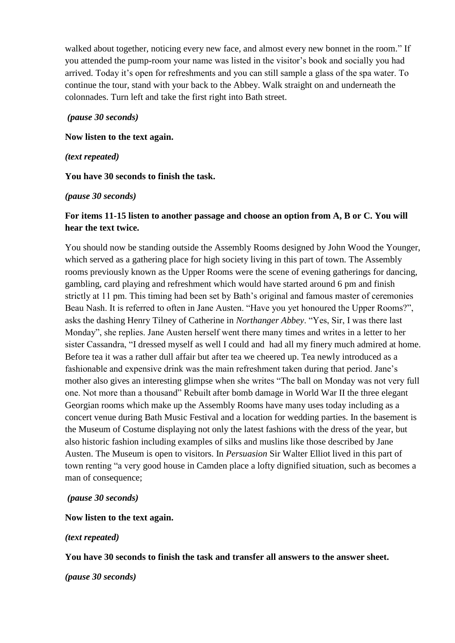walked about together, noticing every new face, and almost every new bonnet in the room." If you attended the pump-room your name was listed in the visitor's book and socially you had arrived. Today it's open for refreshments and you can still sample a glass of the spa water. To continue the tour, stand with your back to the Abbey. Walk straight on and underneath the colonnades. Turn left and take the first right into Bath street.

### *(pause 30 seconds)*

**Now listen to the text again.**

*(text repeated)*

**You have 30 seconds to finish the task.**

### *(pause 30 seconds)*

# **For items 11-15 listen to another passage and choose an option from A, B or C. You will hear the text twice.**

You should now be standing outside the Assembly Rooms designed by John Wood the Younger, which served as a gathering place for high society living in this part of town. The Assembly rooms previously known as the Upper Rooms were the scene of evening gatherings for dancing, gambling, card playing and refreshment which would have started around 6 pm and finish strictly at 11 pm. This timing had been set by Bath's original and famous master of ceremonies Beau Nash. It is referred to often in Jane Austen. "Have you yet honoured the Upper Rooms?", asks the dashing Henry Tilney of Catherine in *Northanger Abbey*. "Yes, Sir, I was there last Monday", she replies. Jane Austen herself went there many times and writes in a letter to her sister Cassandra, "I dressed myself as well I could and had all my finery much admired at home. Before tea it was a rather dull affair but after tea we cheered up. Tea newly introduced as a fashionable and expensive drink was the main refreshment taken during that period. Jane's mother also gives an interesting glimpse when she writes "The ball on Monday was not very full one. Not more than a thousand" Rebuilt after bomb damage in World War II the three elegant Georgian rooms which make up the Assembly Rooms have many uses today including as a concert venue during Bath Music Festival and a location for wedding parties. In the basement is the Museum of Costume displaying not only the latest fashions with the dress of the year, but also historic fashion including examples of silks and muslins like those described by Jane Austen. The Museum is open to visitors. In *Persuasion* Sir Walter Elliot lived in this part of town renting "a very good house in Camden place a lofty dignified situation, such as becomes a man of consequence;

### *(pause 30 seconds)*

# **Now listen to the text again.**

### *(text repeated)*

# **You have 30 seconds to finish the task and transfer all answers to the answer sheet.**

*(pause 30 seconds)*